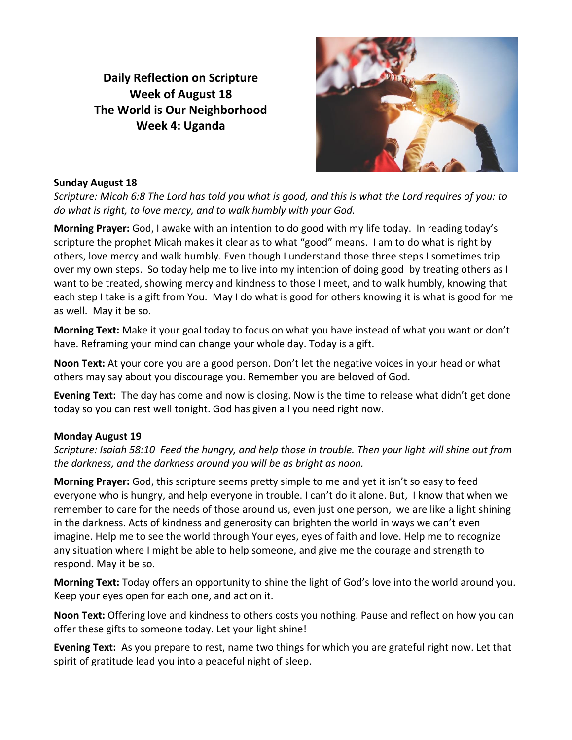**Daily Reflection on Scripture Week of August 18 The World is Our Neighborhood Week 4: Uganda**



#### **Sunday August 18**

*Scripture: Micah 6:8 The Lord has told you what is good, and this is what the Lord requires of you: to do what is right, to love mercy, and to walk humbly with your God.*

**Morning Prayer:** God, I awake with an intention to do good with my life today. In reading today's scripture the prophet Micah makes it clear as to what "good" means. I am to do what is right by others, love mercy and walk humbly. Even though I understand those three steps I sometimes trip over my own steps. So today help me to live into my intention of doing good by treating others as I want to be treated, showing mercy and kindness to those I meet, and to walk humbly, knowing that each step I take is a gift from You. May I do what is good for others knowing it is what is good for me as well. May it be so.

**Morning Text:** Make it your goal today to focus on what you have instead of what you want or don't have. Reframing your mind can change your whole day. Today is a gift.

**Noon Text:** At your core you are a good person. Don't let the negative voices in your head or what others may say about you discourage you. Remember you are beloved of God.

**Evening Text:** The day has come and now is closing. Now is the time to release what didn't get done today so you can rest well tonight. God has given all you need right now.

#### **Monday August 19**

*Scripture: Isaiah 58:10 Feed the hungry, and help those in trouble. Then your light will shine out from the darkness, and the darkness around you will be as bright as noon.*

**Morning Prayer:** God, this scripture seems pretty simple to me and yet it isn't so easy to feed everyone who is hungry, and help everyone in trouble. I can't do it alone. But, I know that when we remember to care for the needs of those around us, even just one person, we are like a light shining in the darkness. Acts of kindness and generosity can brighten the world in ways we can't even imagine. Help me to see the world through Your eyes, eyes of faith and love. Help me to recognize any situation where I might be able to help someone, and give me the courage and strength to respond. May it be so.

**Morning Text:** Today offers an opportunity to shine the light of God's love into the world around you. Keep your eyes open for each one, and act on it.

**Noon Text:** Offering love and kindness to others costs you nothing. Pause and reflect on how you can offer these gifts to someone today. Let your light shine!

**Evening Text:** As you prepare to rest, name two things for which you are grateful right now. Let that spirit of gratitude lead you into a peaceful night of sleep.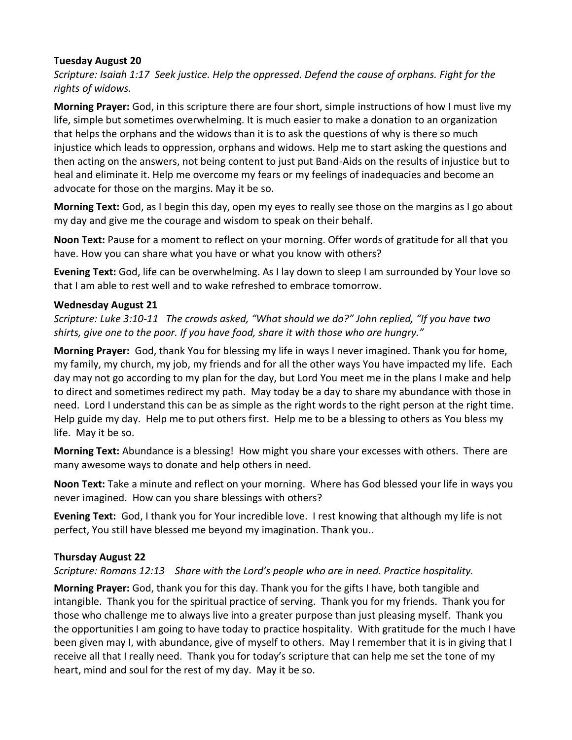## **Tuesday August 20**

*Scripture: Isaiah 1:17 Seek justice. Help the oppressed. Defend the cause of orphans. Fight for the rights of widows.*

**Morning Prayer:** God, in this scripture there are four short, simple instructions of how I must live my life, simple but sometimes overwhelming. It is much easier to make a donation to an organization that helps the orphans and the widows than it is to ask the questions of why is there so much injustice which leads to oppression, orphans and widows. Help me to start asking the questions and then acting on the answers, not being content to just put Band-Aids on the results of injustice but to heal and eliminate it. Help me overcome my fears or my feelings of inadequacies and become an advocate for those on the margins. May it be so.

**Morning Text:** God, as I begin this day, open my eyes to really see those on the margins as I go about my day and give me the courage and wisdom to speak on their behalf.

**Noon Text:** Pause for a moment to reflect on your morning. Offer words of gratitude for all that you have. How you can share what you have or what you know with others?

**Evening Text:** God, life can be overwhelming. As I lay down to sleep I am surrounded by Your love so that I am able to rest well and to wake refreshed to embrace tomorrow.

## **Wednesday August 21**

*Scripture: Luke 3:10-11 The crowds asked, "What should we do?" John replied, "If you have two shirts, give one to the poor. If you have food, share it with those who are hungry."*

**Morning Prayer:** God, thank You for blessing my life in ways I never imagined. Thank you for home, my family, my church, my job, my friends and for all the other ways You have impacted my life. Each day may not go according to my plan for the day, but Lord You meet me in the plans I make and help to direct and sometimes redirect my path. May today be a day to share my abundance with those in need. Lord I understand this can be as simple as the right words to the right person at the right time. Help guide my day. Help me to put others first. Help me to be a blessing to others as You bless my life. May it be so.

**Morning Text:** Abundance is a blessing! How might you share your excesses with others. There are many awesome ways to donate and help others in need.

**Noon Text:** Take a minute and reflect on your morning. Where has God blessed your life in ways you never imagined. How can you share blessings with others?

**Evening Text:** God, I thank you for Your incredible love. I rest knowing that although my life is not perfect, You still have blessed me beyond my imagination. Thank you..

# **Thursday August 22**

*Scripture: Romans 12:13 Share with the Lord's people who are in need. Practice hospitality.*

**Morning Prayer:** God, thank you for this day. Thank you for the gifts I have, both tangible and intangible. Thank you for the spiritual practice of serving. Thank you for my friends. Thank you for those who challenge me to always live into a greater purpose than just pleasing myself. Thank you the opportunities I am going to have today to practice hospitality. With gratitude for the much I have been given may I, with abundance, give of myself to others. May I remember that it is in giving that I receive all that I really need. Thank you for today's scripture that can help me set the tone of my heart, mind and soul for the rest of my day. May it be so.